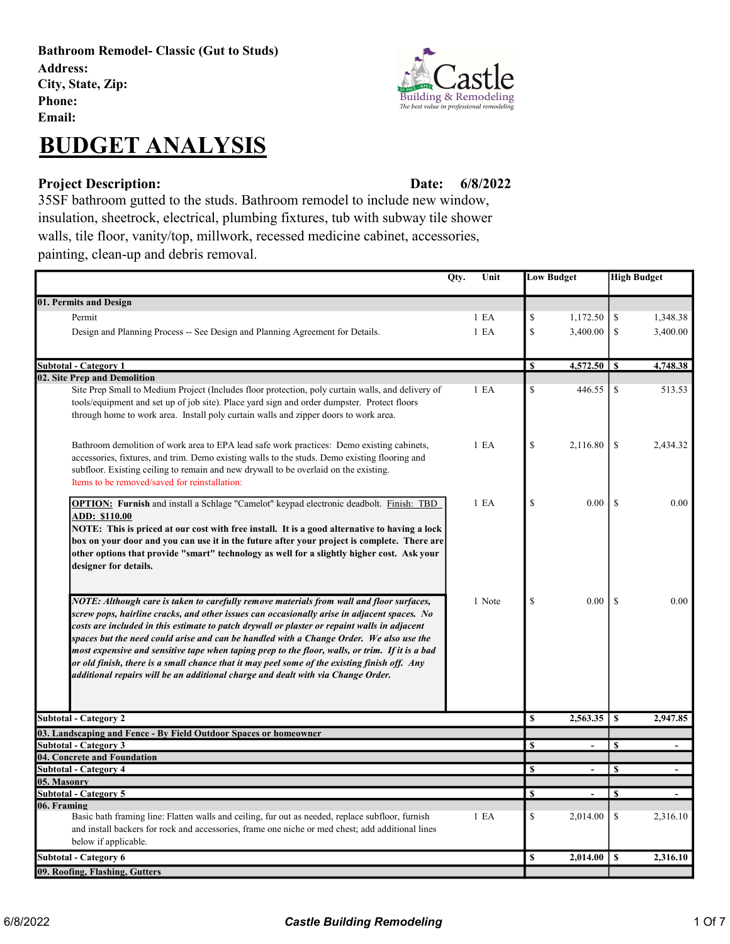Bathroom Remodel- Classic (Gut to Studs) Address: City, State, Zip: Phone: Email:

## BUDGET ANALYSIS

## Project Description: Date:

6/8/2022

35SF bathroom gutted to the studs. Bathroom remodel to include new window, insulation, sheetrock, electrical, plumbing fixtures, tub with subway tile shower walls, tile floor, vanity/top, millwork, recessed medicine cabinet, accessories, painting, clean-up and debris removal.

|                                                                                                                                                                                                                                                                                                                                                                                                                                                                                                                                                                                                                                                                                                                                                                                                                                                                                                                                                                                                                                                                                                                     | Qty.<br>Unit               |                         | <b>Low Budget</b> | <b>High Budget</b> |                          |
|---------------------------------------------------------------------------------------------------------------------------------------------------------------------------------------------------------------------------------------------------------------------------------------------------------------------------------------------------------------------------------------------------------------------------------------------------------------------------------------------------------------------------------------------------------------------------------------------------------------------------------------------------------------------------------------------------------------------------------------------------------------------------------------------------------------------------------------------------------------------------------------------------------------------------------------------------------------------------------------------------------------------------------------------------------------------------------------------------------------------|----------------------------|-------------------------|-------------------|--------------------|--------------------------|
| 01. Permits and Design                                                                                                                                                                                                                                                                                                                                                                                                                                                                                                                                                                                                                                                                                                                                                                                                                                                                                                                                                                                                                                                                                              |                            |                         |                   |                    |                          |
| Permit                                                                                                                                                                                                                                                                                                                                                                                                                                                                                                                                                                                                                                                                                                                                                                                                                                                                                                                                                                                                                                                                                                              | 1 E <sub>A</sub>           | \$                      | 1,172.50          | \$                 | 1,348.38                 |
| Design and Planning Process -- See Design and Planning Agreement for Details.                                                                                                                                                                                                                                                                                                                                                                                                                                                                                                                                                                                                                                                                                                                                                                                                                                                                                                                                                                                                                                       | 1 E <sub>A</sub>           | $\mathbf S$             | 3,400.00          | \$                 | 3,400.00                 |
|                                                                                                                                                                                                                                                                                                                                                                                                                                                                                                                                                                                                                                                                                                                                                                                                                                                                                                                                                                                                                                                                                                                     |                            |                         |                   |                    |                          |
| Subtotal - Category 1                                                                                                                                                                                                                                                                                                                                                                                                                                                                                                                                                                                                                                                                                                                                                                                                                                                                                                                                                                                                                                                                                               |                            | S                       | 4,572.50          | S                  | 4,748.38                 |
| 02. Site Prep and Demolition                                                                                                                                                                                                                                                                                                                                                                                                                                                                                                                                                                                                                                                                                                                                                                                                                                                                                                                                                                                                                                                                                        |                            |                         |                   |                    |                          |
| Site Prep Small to Medium Project (Includes floor protection, poly curtain walls, and delivery of<br>tools/equipment and set up of job site). Place yard sign and order dumpster. Protect floors<br>through home to work area. Install poly curtain walls and zipper doors to work area.                                                                                                                                                                                                                                                                                                                                                                                                                                                                                                                                                                                                                                                                                                                                                                                                                            | 1 E A                      | \$                      | 446.55            | \$                 | 513.53                   |
| Bathroom demolition of work area to EPA lead safe work practices: Demo existing cabinets,<br>accessories, fixtures, and trim. Demo existing walls to the studs. Demo existing flooring and<br>subfloor. Existing ceiling to remain and new drywall to be overlaid on the existing.<br>Items to be removed/saved for reinstallation:                                                                                                                                                                                                                                                                                                                                                                                                                                                                                                                                                                                                                                                                                                                                                                                 | 1 E A                      | $\mathbb{S}$            | 2,116.80          | \$                 | 2,434.32                 |
| OPTION: Furnish and install a Schlage "Camelot" keypad electronic deadbolt. Finish: TBD<br><u>ADD: \$110.00</u><br>NOTE: This is priced at our cost with free install. It is a good alternative to having a lock<br>box on your door and you can use it in the future after your project is complete. There are<br>other options that provide "smart" technology as well for a slightly higher cost. Ask your<br>designer for details.<br>NOTE: Although care is taken to carefully remove materials from wall and floor surfaces,<br>screw pops, hairline cracks, and other issues can occasionally arise in adjacent spaces. No<br>costs are included in this estimate to patch drywall or plaster or repaint walls in adjacent<br>spaces but the need could arise and can be handled with a Change Order. We also use the<br>most expensive and sensitive tape when taping prep to the floor, walls, or trim. If it is a bad<br>or old finish, there is a small chance that it may peel some of the existing finish off. Any<br>additional repairs will be an additional charge and dealt with via Change Order. | 1 E <sub>A</sub><br>1 Note | \$<br>$\mathbb{S}$      | 0.00<br>$0.00\,$  | $\mathbf S$<br>\$  | 0.00<br>0.00             |
| <b>Subtotal - Category 2</b>                                                                                                                                                                                                                                                                                                                                                                                                                                                                                                                                                                                                                                                                                                                                                                                                                                                                                                                                                                                                                                                                                        |                            | $\mathbf S$             | 2,563.35          | $\mathbf{s}$       | 2,947.85                 |
| 03. Landscaping and Fence - By Field Outdoor Spaces or homeowner                                                                                                                                                                                                                                                                                                                                                                                                                                                                                                                                                                                                                                                                                                                                                                                                                                                                                                                                                                                                                                                    |                            |                         |                   |                    |                          |
| <b>Subtotal - Category 3</b>                                                                                                                                                                                                                                                                                                                                                                                                                                                                                                                                                                                                                                                                                                                                                                                                                                                                                                                                                                                                                                                                                        |                            | $\mathbf S$             | $\blacksquare$    | \$                 | $\overline{\phantom{a}}$ |
| 04. Concrete and Foundation                                                                                                                                                                                                                                                                                                                                                                                                                                                                                                                                                                                                                                                                                                                                                                                                                                                                                                                                                                                                                                                                                         |                            |                         |                   |                    |                          |
| <b>Subtotal - Category 4</b>                                                                                                                                                                                                                                                                                                                                                                                                                                                                                                                                                                                                                                                                                                                                                                                                                                                                                                                                                                                                                                                                                        |                            | $\mathbf S$             | $\blacksquare$    | $\mathbf{s}$       | $\overline{\phantom{a}}$ |
| 05. Masonry<br><b>Subtotal - Category 5</b>                                                                                                                                                                                                                                                                                                                                                                                                                                                                                                                                                                                                                                                                                                                                                                                                                                                                                                                                                                                                                                                                         |                            | $\overline{\mathbf{s}}$ | $\blacksquare$    | \$                 | $\overline{\phantom{a}}$ |
| 06. Framing<br>Basic bath framing line: Flatten walls and ceiling, fur out as needed, replace subfloor, furnish<br>and install backers for rock and accessories, frame one niche or med chest; add additional lines<br>below if applicable.                                                                                                                                                                                                                                                                                                                                                                                                                                                                                                                                                                                                                                                                                                                                                                                                                                                                         | 1 E A                      | \$                      | 2,014.00          | \$                 | 2,316.10                 |
| Subtotal - Category 6                                                                                                                                                                                                                                                                                                                                                                                                                                                                                                                                                                                                                                                                                                                                                                                                                                                                                                                                                                                                                                                                                               |                            | \$                      | 2,014.00          | \$                 | 2,316.10                 |
| 09. Roofing, Flashing, Gutters                                                                                                                                                                                                                                                                                                                                                                                                                                                                                                                                                                                                                                                                                                                                                                                                                                                                                                                                                                                                                                                                                      |                            |                         |                   |                    |                          |

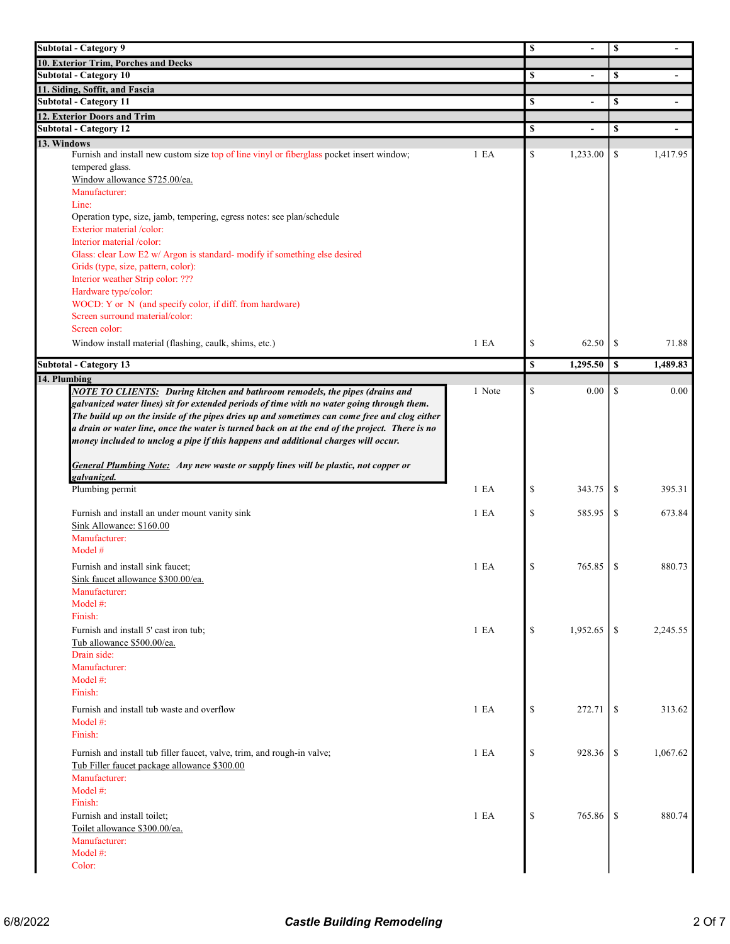| <b>Subtotal - Category 9</b>                                                                   |        |               | $\mathbb S$    |               | $\blacksquare$           |
|------------------------------------------------------------------------------------------------|--------|---------------|----------------|---------------|--------------------------|
| 10. Exterior Trim, Porches and Decks                                                           |        |               |                |               |                          |
| <b>Subtotal - Category 10</b>                                                                  |        | S             |                | \$            |                          |
| 11. Siding, Soffit, and Fascia                                                                 |        |               |                |               |                          |
| <b>Subtotal - Category 11</b>                                                                  |        | <b>S</b>      | $\blacksquare$ | \$            | $\blacksquare$           |
| 12. Exterior Doors and Trim                                                                    |        |               |                |               |                          |
| <b>Subtotal - Category 12</b>                                                                  |        | \$            |                | \$            | $\overline{\phantom{a}}$ |
| 13. Windows                                                                                    |        |               |                |               |                          |
| Furnish and install new custom size top of line vinyl or fiberglass pocket insert window;      | 1 E A  | \$            | 1,233.00       | \$            | 1,417.95                 |
| tempered glass.<br>Window allowance \$725.00/ea.                                               |        |               |                |               |                          |
| Manufacturer:                                                                                  |        |               |                |               |                          |
| Line:                                                                                          |        |               |                |               |                          |
| Operation type, size, jamb, tempering, egress notes: see plan/schedule                         |        |               |                |               |                          |
| Exterior material /color:                                                                      |        |               |                |               |                          |
| Interior material /color:                                                                      |        |               |                |               |                          |
| Glass: clear Low E2 w/ Argon is standard- modify if something else desired                     |        |               |                |               |                          |
| Grids (type, size, pattern, color):                                                            |        |               |                |               |                          |
| Interior weather Strip color: ???                                                              |        |               |                |               |                          |
| Hardware type/color:                                                                           |        |               |                |               |                          |
| WOCD: Y or N (and specify color, if diff. from hardware)                                       |        |               |                |               |                          |
| Screen surround material/color:                                                                |        |               |                |               |                          |
| Screen color:                                                                                  |        |               |                |               |                          |
| Window install material (flashing, caulk, shims, etc.)                                         | 1 E A  | \$            | 62.50          | <sup>\$</sup> | 71.88                    |
| <b>Subtotal - Category 13</b>                                                                  |        | \$            | 1,295.50       | \$            | 1,489.83                 |
| 14. Plumbing                                                                                   |        |               |                |               |                          |
| <b>NOTE TO CLIENTS:</b> During kitchen and bathroom remodels, the pipes (drains and            | 1 Note | \$            | 0.00           | \$            | $0.00\,$                 |
| galvanized water lines) sit for extended periods of time with no water going through them.     |        |               |                |               |                          |
|                                                                                                |        |               |                |               |                          |
|                                                                                                |        |               |                |               |                          |
| The build up on the inside of the pipes dries up and sometimes can come free and clog either   |        |               |                |               |                          |
| a drain or water line, once the water is turned back on at the end of the project. There is no |        |               |                |               |                          |
| money included to unclog a pipe if this happens and additional charges will occur.             |        |               |                |               |                          |
| General Plumbing Note: Any new waste or supply lines will be plastic, not copper or            |        |               |                |               |                          |
| galvanized.                                                                                    |        |               |                |               |                          |
| Plumbing permit                                                                                | 1 E A  | \$            | 343.75         | \$            | 395.31                   |
|                                                                                                |        |               |                |               |                          |
| Furnish and install an under mount vanity sink                                                 | 1 E A  | $\mathcal{S}$ | 585.95         | \$            | 673.84                   |
| Sink Allowance: \$160.00                                                                       |        |               |                |               |                          |
| Manufacturer:                                                                                  |        |               |                |               |                          |
| Model #                                                                                        |        |               |                |               |                          |
| Furnish and install sink faucet;                                                               | 1 E A  | \$            | 765.85         | \$            | 880.73                   |
| Sink faucet allowance \$300.00/ea.                                                             |        |               |                |               |                          |
| Manufacturer:                                                                                  |        |               |                |               |                          |
| Model $#$ :                                                                                    |        |               |                |               |                          |
| Finish:                                                                                        |        |               |                |               |                          |
| Furnish and install 5' cast iron tub;                                                          | 1 E A  | \$            | 1,952.65       | <sup>\$</sup> | 2,245.55                 |
| Tub allowance \$500.00/ea.                                                                     |        |               |                |               |                          |
| Drain side:                                                                                    |        |               |                |               |                          |
| Manufacturer:                                                                                  |        |               |                |               |                          |
| Model #:                                                                                       |        |               |                |               |                          |
|                                                                                                |        |               |                |               |                          |
| Finish:                                                                                        |        |               |                |               |                          |
| Furnish and install tub waste and overflow<br>Model #:                                         | 1 E A  | $\mathcal{S}$ | 272.71         | <sup>\$</sup> | 313.62                   |
|                                                                                                |        |               |                |               |                          |
|                                                                                                |        |               |                |               |                          |
| Finish:<br>Furnish and install tub filler faucet, valve, trim, and rough-in valve;             | 1 E A  | $\mathcal{S}$ | 928.36         | \$            | 1,067.62                 |
| Tub Filler faucet package allowance \$300.00                                                   |        |               |                |               |                          |
| Manufacturer:                                                                                  |        |               |                |               |                          |
| Model #:                                                                                       |        |               |                |               |                          |
| Finish:                                                                                        |        |               |                |               |                          |
| Furnish and install toilet;                                                                    | 1 E A  | \$            | 765.86         | -S            | 880.74                   |
| Toilet allowance \$300.00/ea.                                                                  |        |               |                |               |                          |
| Manufacturer:                                                                                  |        |               |                |               |                          |
| Model #:<br>Color:                                                                             |        |               |                |               |                          |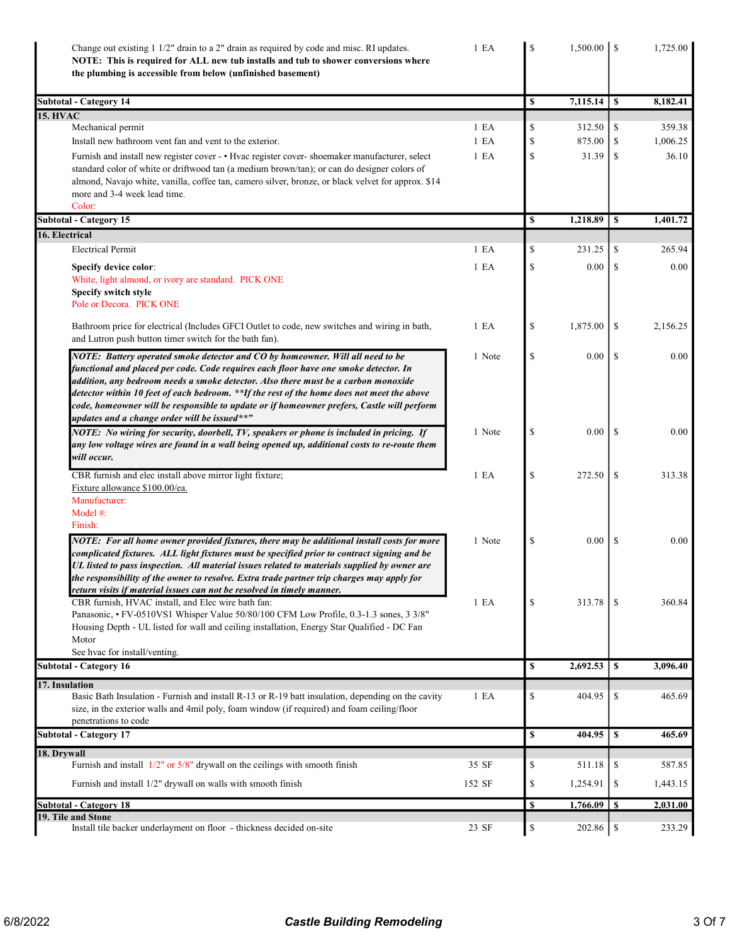| Change out existing 1 1/2" drain to a 2" drain as required by code and misc. RI updates.<br>NOTE: This is required for ALL new tub installs and tub to shower conversions where<br>the plumbing is accessible from below (unfinished basement) | 1 E <sub>A</sub> | \$       | $1,500.00$   \$ |               | 1,725.00 |
|------------------------------------------------------------------------------------------------------------------------------------------------------------------------------------------------------------------------------------------------|------------------|----------|-----------------|---------------|----------|
| <b>Subtotal - Category 14</b>                                                                                                                                                                                                                  |                  | <b>S</b> | 7,115.14        | S             | 8,182.41 |
| <b>15. HVAC</b>                                                                                                                                                                                                                                |                  |          |                 |               |          |
| Mechanical permit                                                                                                                                                                                                                              | 1 E <sub>A</sub> | \$       | 312.50          | \$            | 359.38   |
| Install new bathroom vent fan and vent to the exterior.                                                                                                                                                                                        | 1 E A            | \$       | 875.00          | \$            | 1,006.25 |
| Furnish and install new register cover - . Hvac register cover- shoemaker manufacturer, select                                                                                                                                                 | 1 E A            | \$       | 31.39           | \$            | 36.10    |
| standard color of white or driftwood tan (a medium brown/tan); or can do designer colors of                                                                                                                                                    |                  |          |                 |               |          |
| almond, Navajo white, vanilla, coffee tan, camero silver, bronze, or black velvet for approx. \$14<br>more and 3-4 week lead time.                                                                                                             |                  |          |                 |               |          |
| Color:                                                                                                                                                                                                                                         |                  |          |                 |               |          |
| <b>Subtotal - Category 15</b>                                                                                                                                                                                                                  |                  | \$       | 1,218.89        | $\mathbf{s}$  | 1,401.72 |
| 16. Electrical                                                                                                                                                                                                                                 |                  |          |                 |               |          |
| <b>Electrical Permit</b>                                                                                                                                                                                                                       | 1 E A            | \$       | 231.25          | \$            | 265.94   |
| Specify device color:                                                                                                                                                                                                                          | 1 E A            | \$       | 0.00            | \$            | 0.00     |
| White, light almond, or ivory are standard. PICK ONE                                                                                                                                                                                           |                  |          |                 |               |          |
| Specify switch style                                                                                                                                                                                                                           |                  |          |                 |               |          |
| Pole or Decora. PICK ONE                                                                                                                                                                                                                       |                  |          |                 |               |          |
|                                                                                                                                                                                                                                                |                  |          |                 |               |          |
| Bathroom price for electrical (Includes GFCI Outlet to code, new switches and wiring in bath,                                                                                                                                                  | 1 E A            | \$       | 1,875.00        | \$            | 2,156.25 |
| and Lutron push button timer switch for the bath fan).                                                                                                                                                                                         |                  |          |                 |               |          |
| NOTE: Battery operated smoke detector and CO by homeowner. Will all need to be                                                                                                                                                                 | 1 Note           | \$       | 0.00            | <sup>\$</sup> | 0.00     |
| functional and placed per code. Code requires each floor have one smoke detector. In                                                                                                                                                           |                  |          |                 |               |          |
| addition, any bedroom needs a smoke detector. Also there must be a carbon monoxide                                                                                                                                                             |                  |          |                 |               |          |
| detector within 10 feet of each bedroom. **If the rest of the home does not meet the above                                                                                                                                                     |                  |          |                 |               |          |
| code, homeowner will be responsible to update or if homeowner prefers, Castle will perform<br>updates and a change order will be issued**"                                                                                                     |                  |          |                 |               |          |
| NOTE: No wiring for security, doorbell, TV, speakers or phone is included in pricing. If                                                                                                                                                       | 1 Note           | \$       | 0.00            | <sup>\$</sup> | 0.00     |
| any low voltage wires are found in a wall being opened up, additional costs to re-route them                                                                                                                                                   |                  |          |                 |               |          |
| will occur.                                                                                                                                                                                                                                    |                  |          |                 |               |          |
|                                                                                                                                                                                                                                                |                  |          |                 |               |          |
| CBR furnish and elec install above mirror light fixture;                                                                                                                                                                                       | 1 E A            | \$       | 272.50          | \$            | 313.38   |
| Fixture allowance \$100.00/ea.                                                                                                                                                                                                                 |                  |          |                 |               |          |
| Manufacturer:                                                                                                                                                                                                                                  |                  |          |                 |               |          |
| Model #:<br>Finish:                                                                                                                                                                                                                            |                  |          |                 |               |          |
|                                                                                                                                                                                                                                                |                  |          |                 |               |          |
| NOTE: For all home owner provided fixtures, there may be additional install costs for more                                                                                                                                                     | 1 Note           | \$       | 0.00            | -S            | 0.00     |
| complicated fixtures. ALL light fixtures must be specified prior to contract signing and be                                                                                                                                                    |                  |          |                 |               |          |
| UL listed to pass inspection. All material issues related to materials supplied by owner are                                                                                                                                                   |                  |          |                 |               |          |
| the responsibility of the owner to resolve. Extra trade partner trip charges may apply for                                                                                                                                                     |                  |          |                 |               |          |
| return visits if material issues can not be resolved in timely manner.<br>CBR furnish, HVAC install, and Elec wire bath fan:                                                                                                                   | 1 E A            | \$       | 313.78          | \$.           | 360.84   |
| Panasonic, • FV-0510VS1 Whisper Value 50/80/100 CFM Low Profile, 0.3-1.3 sones, 3 3/8"                                                                                                                                                         |                  |          |                 |               |          |
| Housing Depth - UL listed for wall and ceiling installation, Energy Star Qualified - DC Fan                                                                                                                                                    |                  |          |                 |               |          |
| Motor                                                                                                                                                                                                                                          |                  |          |                 |               |          |
| See hvac for install/venting.                                                                                                                                                                                                                  |                  |          |                 |               |          |
| <b>Subtotal - Category 16</b>                                                                                                                                                                                                                  |                  | S        | 2,692.53        | \$            | 3,096.40 |
| 17. Insulation                                                                                                                                                                                                                                 |                  |          |                 |               |          |
| Basic Bath Insulation - Furnish and install R-13 or R-19 batt insulation, depending on the cavity                                                                                                                                              | 1 E A            | \$       | 404.95          | \$            | 465.69   |
| size, in the exterior walls and 4mil poly, foam window (if required) and foam ceiling/floor                                                                                                                                                    |                  |          |                 |               |          |
| penetrations to code                                                                                                                                                                                                                           |                  |          |                 |               |          |
| <b>Subtotal - Category 17</b>                                                                                                                                                                                                                  |                  | S        | 404.95          | $\sqrt{S}$    | 465.69   |
| 18. Drywall                                                                                                                                                                                                                                    |                  |          |                 |               |          |
| Furnish and install $1/2$ " or $5/8$ " drywall on the ceilings with smooth finish                                                                                                                                                              | 35 SF            | \$       | 511.18          | \$            | 587.85   |
| Furnish and install 1/2" drywall on walls with smooth finish                                                                                                                                                                                   | 152 SF           | \$       | 1,254.91        | \$            | 1,443.15 |
|                                                                                                                                                                                                                                                |                  |          |                 |               |          |
| <b>Subtotal - Category 18</b>                                                                                                                                                                                                                  |                  | <b>S</b> |                 |               | 2,031.00 |
| 19. Tile and Stone<br>Install tile backer underlayment on floor - thickness decided on-site                                                                                                                                                    | 23 SF            | \$       |                 |               | 233.29   |
|                                                                                                                                                                                                                                                |                  |          |                 |               |          |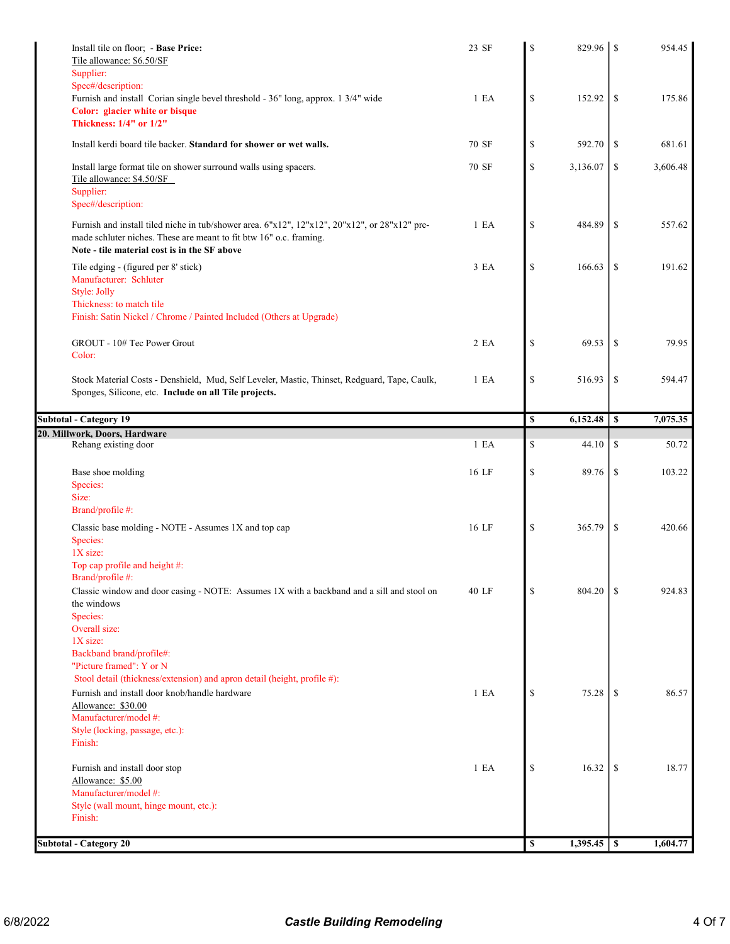| Install tile on floor; - Base Price:<br>Tile allowance: \$6.50/SF                                                                                                                                                   | 23 SF | \$           |          |               | 954.45         |
|---------------------------------------------------------------------------------------------------------------------------------------------------------------------------------------------------------------------|-------|--------------|----------|---------------|----------------|
| Supplier:                                                                                                                                                                                                           |       |              |          |               |                |
| Spec#/description:<br>Furnish and install Corian single bevel threshold - 36" long, approx. 1 3/4" wide<br>Color: glacier white or bisque<br>Thickness: 1/4" or 1/2"                                                | 1 E A | \$           | 152.92   | <sup>\$</sup> | 175.86         |
| Install kerdi board tile backer. Standard for shower or wet walls.                                                                                                                                                  | 70 SF | \$           | 592.70   | \$            | 681.61         |
| Install large format tile on shower surround walls using spacers.<br>Tile allowance: \$4.50/SF<br>Supplier:<br>Spec#/description:                                                                                   | 70 SF | $\mathbb{S}$ | 3,136.07 | \$            | 3,606.48       |
| Furnish and install tiled niche in tub/shower area. 6"x12", 12"x12", 20"x12", or 28"x12" pre-<br>made schluter niches. These are meant to fit btw 16" o.c. framing.<br>Note - tile material cost is in the SF above | 1 E A | \$           | 484.89   | \$            | 557.62         |
| Tile edging - (figured per 8' stick)<br>Manufacturer: Schluter<br>Style: Jolly<br>Thickness: to match tile                                                                                                          | 3 EA  | \$           | 166.63   | \$            | 191.62         |
| Finish: Satin Nickel / Chrome / Painted Included (Others at Upgrade)                                                                                                                                                |       |              |          |               |                |
| GROUT - 10# Tec Power Grout<br>Color:                                                                                                                                                                               | 2 EA  | \$           | 69.53    | -S            | 79.95          |
| Stock Material Costs - Denshield, Mud, Self Leveler, Mastic, Thinset, Redguard, Tape, Caulk,<br>Sponges, Silicone, etc. Include on all Tile projects.                                                               | 1 E A | \$           | 516.93   | \$            | 594.47         |
| <b>Subtotal - Category 19</b>                                                                                                                                                                                       |       | $\mathbf S$  | 6,152.48 | $\mathbf{s}$  | 7,075.35       |
| 20. Millwork, Doors, Hardware                                                                                                                                                                                       |       |              |          |               |                |
| Rehang existing door                                                                                                                                                                                                | 1 E A | \$           | 44.10    | \$            | 50.72          |
| Base shoe molding<br>Species:                                                                                                                                                                                       | 16 LF | \$           | 89.76    | \$            | 103.22         |
| Size:                                                                                                                                                                                                               |       |              |          |               |                |
|                                                                                                                                                                                                                     |       |              |          |               |                |
| Brand/profile #:<br>Classic base molding - NOTE - Assumes 1X and top cap<br>Species:                                                                                                                                | 16 LF | \$           | 365.79   | -S            | 420.66         |
| $1X$ size:<br>Top cap profile and height #:<br>Brand/profile #:                                                                                                                                                     |       |              |          |               |                |
| Classic window and door casing - NOTE: Assumes 1X with a backband and a sill and stool on<br>the windows<br>Species:                                                                                                | 40 LF | \$           | 804.20   | <sup>\$</sup> | 924.83         |
| Overall size:<br>1X size:<br>Backband brand/profile#:                                                                                                                                                               |       |              |          |               |                |
| "Picture framed": Y or N                                                                                                                                                                                            |       |              |          |               |                |
| Stool detail (thickness/extension) and apron detail (height, profile #):<br>Furnish and install door knob/handle hardware                                                                                           | 1 E A | \$           | 75.28    | <sup>\$</sup> |                |
| Allowance: \$30.00                                                                                                                                                                                                  |       |              |          |               |                |
| Manufacturer/model #:<br>Style (locking, passage, etc.):                                                                                                                                                            |       |              |          |               |                |
| Finish:                                                                                                                                                                                                             |       |              |          |               |                |
|                                                                                                                                                                                                                     |       |              |          |               |                |
| Furnish and install door stop<br>Allowance: \$5.00                                                                                                                                                                  | 1 E A | \$           | 16.32    | -S            |                |
| Manufacturer/model #:<br>Style (wall mount, hinge mount, etc.):                                                                                                                                                     |       |              |          |               | 86.57<br>18.77 |
| Finish:                                                                                                                                                                                                             |       |              |          |               |                |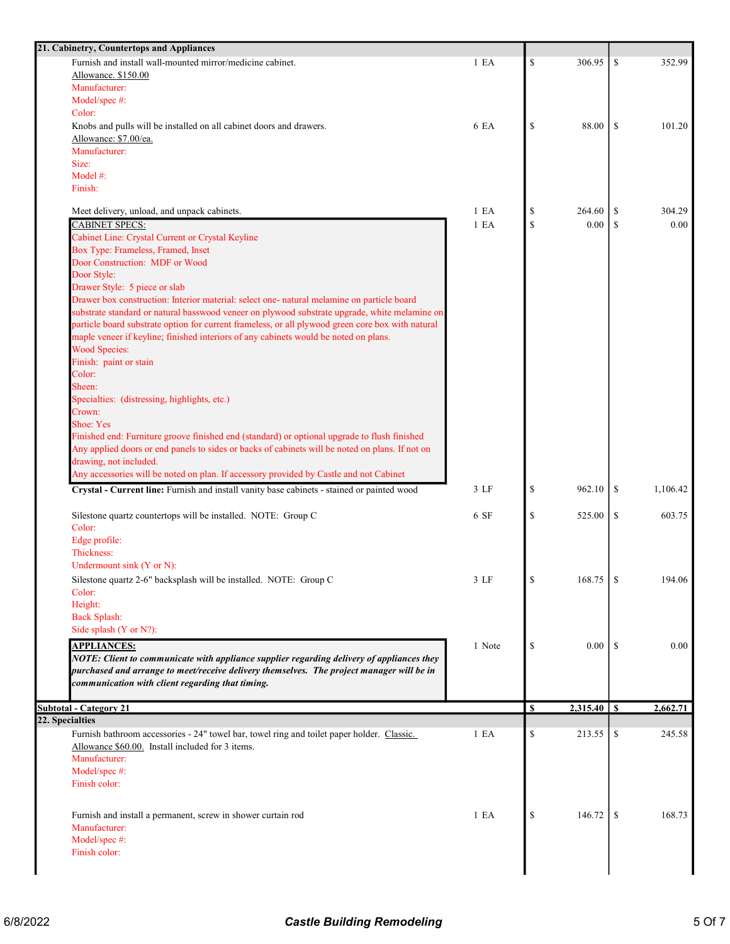| 21. Cabinetry, Countertops and Appliances                                                         |        |             |                 |               |          |
|---------------------------------------------------------------------------------------------------|--------|-------------|-----------------|---------------|----------|
| Furnish and install wall-mounted mirror/medicine cabinet.                                         | 1 E A  | \$          | 306.95          | <sup>\$</sup> | 352.99   |
| Allowance. \$150.00                                                                               |        |             |                 |               |          |
| Manufacturer:                                                                                     |        |             |                 |               |          |
| Model/spec #:                                                                                     |        |             |                 |               |          |
| Color:                                                                                            |        |             |                 |               |          |
| Knobs and pulls will be installed on all cabinet doors and drawers.                               | 6 EA   | \$          | 88.00           | <sup>\$</sup> | 101.20   |
| Allowance: \$7.00/ea.                                                                             |        |             |                 |               |          |
| Manufacturer:                                                                                     |        |             |                 |               |          |
| Size:                                                                                             |        |             |                 |               |          |
| Model #:                                                                                          |        |             |                 |               |          |
| Finish:                                                                                           |        |             |                 |               |          |
|                                                                                                   |        |             |                 |               | 304.29   |
| Meet delivery, unload, and unpack cabinets.                                                       | 1 E A  | \$          | 264.60          | <sup>\$</sup> |          |
| CABINET SPECS:                                                                                    | 1 E A  | \$          | 0.00            | <sup>\$</sup> | 0.00     |
| Cabinet Line: Crystal Current or Crystal Keyline                                                  |        |             |                 |               |          |
| Box Type: Frameless, Framed, Inset                                                                |        |             |                 |               |          |
| Door Construction: MDF or Wood                                                                    |        |             |                 |               |          |
| Door Style:                                                                                       |        |             |                 |               |          |
| Drawer Style: 5 piece or slab                                                                     |        |             |                 |               |          |
| Drawer box construction: Interior material: select one- natural melamine on particle board        |        |             |                 |               |          |
| substrate standard or natural basswood veneer on plywood substrate upgrade, white melamine on     |        |             |                 |               |          |
| particle board substrate option for current frameless, or all plywood green core box with natural |        |             |                 |               |          |
| maple veneer if keyline; finished interiors of any cabinets would be noted on plans.              |        |             |                 |               |          |
| <b>Wood Species:</b>                                                                              |        |             |                 |               |          |
| Finish: paint or stain                                                                            |        |             |                 |               |          |
| Color:                                                                                            |        |             |                 |               |          |
| Sheen:                                                                                            |        |             |                 |               |          |
| Specialties: (distressing, highlights, etc.)                                                      |        |             |                 |               |          |
| Crown:                                                                                            |        |             |                 |               |          |
| Shoe: Yes                                                                                         |        |             |                 |               |          |
| Finished end: Furniture groove finished end (standard) or optional upgrade to flush finished      |        |             |                 |               |          |
| Any applied doors or end panels to sides or backs of cabinets will be noted on plans. If not on   |        |             |                 |               |          |
| drawing, not included.                                                                            |        |             |                 |               |          |
| Any accessories will be noted on plan. If accessory provided by Castle and not Cabinet            |        |             |                 |               |          |
| Crystal - Current line: Furnish and install vanity base cabinets - stained or painted wood        | 3 LF   | \$          | 962.10          | <sup>\$</sup> | 1,106.42 |
|                                                                                                   |        |             |                 |               |          |
| Silestone quartz countertops will be installed. NOTE: Group C                                     | 6 SF   | \$          | 525.00          | <sup>\$</sup> | 603.75   |
| Color:                                                                                            |        |             |                 |               |          |
| Edge profile:                                                                                     |        |             |                 |               |          |
| Thickness:                                                                                        |        |             |                 |               |          |
| Undermount sink (Y or N):                                                                         |        |             |                 |               |          |
| Silestone quartz 2-6" backsplash will be installed. NOTE: Group C                                 | 3 LF   |             | 168.75          |               | 194.06   |
| Color:                                                                                            |        |             |                 |               |          |
| Height:                                                                                           |        |             |                 |               |          |
| <b>Back Splash:</b>                                                                               |        |             |                 |               |          |
| Side splash (Y or N?):                                                                            |        |             |                 |               |          |
| <b>APPLIANCES:</b>                                                                                | 1 Note | \$          | $0.00\,$        | -S            | 0.00     |
| NOTE: Client to communicate with appliance supplier regarding delivery of appliances they         |        |             |                 |               |          |
| purchased and arrange to meet/receive delivery themselves. The project manager will be in         |        |             |                 |               |          |
| communication with client regarding that timing.                                                  |        |             |                 |               |          |
|                                                                                                   |        |             |                 |               |          |
| <b>Subtotal - Category 21</b>                                                                     |        | $\mathbf s$ | $2,315.40$   \$ |               | 2,662.71 |
| 22. Specialties                                                                                   |        |             |                 |               |          |
| Furnish bathroom accessories - 24" towel bar, towel ring and toilet paper holder. Classic.        | 1 E A  | \$          | 213.55          | \$            | 245.58   |
| Allowance \$60.00. Install included for 3 items.                                                  |        |             |                 |               |          |
| Manufacturer:                                                                                     |        |             |                 |               |          |
| Model/spec#:                                                                                      |        |             |                 |               |          |
| Finish color:                                                                                     |        |             |                 |               |          |
|                                                                                                   |        |             |                 |               |          |
|                                                                                                   |        |             |                 |               |          |
| Furnish and install a permanent, screw in shower curtain rod                                      | 1 E A  | \$          | 146.72          | \$            |          |
| Manufacturer:                                                                                     |        |             |                 |               |          |
| Model/spec #:                                                                                     |        |             |                 |               |          |
| Finish color:                                                                                     |        |             |                 |               | 168.73   |
|                                                                                                   |        |             |                 |               |          |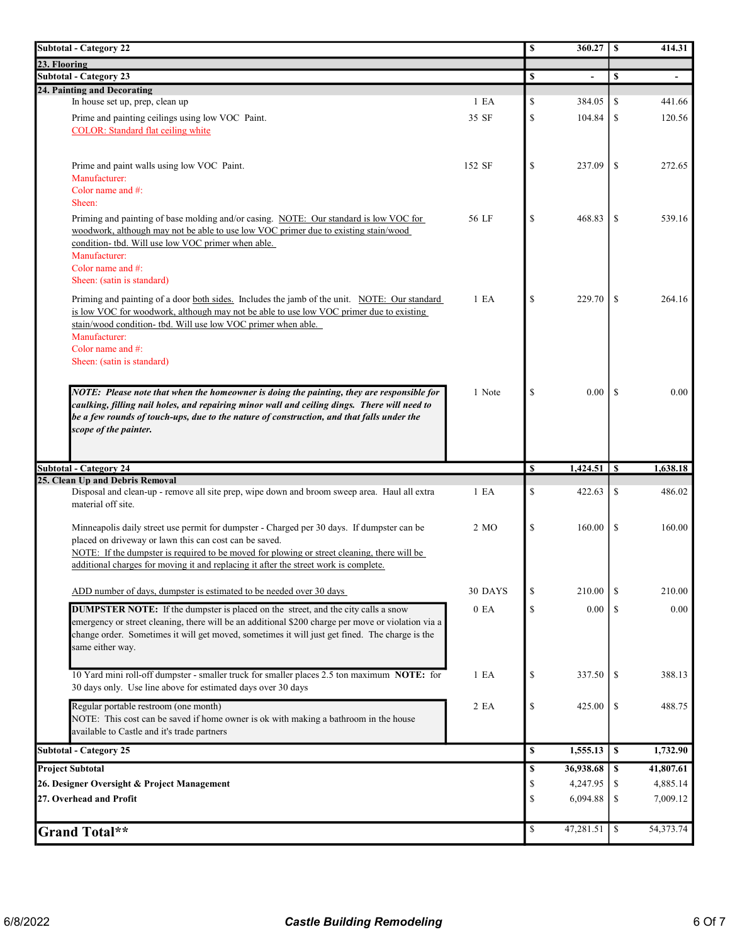| <b>Subtotal - Category 22</b>                                                                                                                                                                                                                                                                                                               |                  | \$            | 360.27          | \$           | 414.31         |
|---------------------------------------------------------------------------------------------------------------------------------------------------------------------------------------------------------------------------------------------------------------------------------------------------------------------------------------------|------------------|---------------|-----------------|--------------|----------------|
| 23. Flooring                                                                                                                                                                                                                                                                                                                                |                  |               |                 |              |                |
| <b>Subtotal - Category 23</b>                                                                                                                                                                                                                                                                                                               |                  | \$            |                 | S            | $\blacksquare$ |
| 24. Painting and Decorating                                                                                                                                                                                                                                                                                                                 |                  | $\mathcal{S}$ |                 |              |                |
| In house set up, prep, clean up                                                                                                                                                                                                                                                                                                             | 1 E A            |               | 384.05          | \$           | 441.66         |
| Prime and painting ceilings using low VOC Paint.<br><b>COLOR:</b> Standard flat ceiling white                                                                                                                                                                                                                                               | 35 SF            | $\mathcal{S}$ | 104.84          | \$           | 120.56         |
| Prime and paint walls using low VOC Paint.<br>Manufacturer:<br>Color name and #:<br>Sheen:                                                                                                                                                                                                                                                  | 152 SF           | $\mathbf S$   | 237.09          | \$           | 272.65         |
| Priming and painting of base molding and/or casing. NOTE: Our standard is low VOC for<br>woodwork, although may not be able to use low VOC primer due to existing stain/wood<br>condition- tbd. Will use low VOC primer when able.<br>Manufacturer:<br>Color name and #:                                                                    | 56 LF            | $\mathcal{S}$ | 468.83          | \$           | 539.16         |
| Sheen: (satin is standard)                                                                                                                                                                                                                                                                                                                  |                  |               |                 |              |                |
| Priming and painting of a door both sides. Includes the jamb of the unit. NOTE: Our standard<br>is low VOC for woodwork, although may not be able to use low VOC primer due to existing<br>stain/wood condition- tbd. Will use low VOC primer when able.<br>Manufacturer:<br>Color name and $#$ :<br>Sheen: (satin is standard)             | 1 E A            | $\mathcal{S}$ | 229.70          | \$           | 264.16         |
| NOTE: Please note that when the homeowner is doing the painting, they are responsible for<br>caulking, filling nail holes, and repairing minor wall and ceiling dings. There will need to<br>be a few rounds of touch-ups, due to the nature of construction, and that falls under the<br>scope of the painter.                             | 1 Note           | $\mathcal{S}$ | 0.00            | -S           | 0.00           |
| <b>Subtotal - Category 24</b>                                                                                                                                                                                                                                                                                                               |                  | <b>S</b>      | $1,424.51$   \$ |              | 1,638.18       |
| 25. Clean Up and Debris Removal                                                                                                                                                                                                                                                                                                             |                  |               |                 |              |                |
| Disposal and clean-up - remove all site prep, wipe down and broom sweep area. Haul all extra<br>material off site.                                                                                                                                                                                                                          | 1 E <sub>A</sub> | \$            | 422.63          | \$           | 486.02         |
| Minneapolis daily street use permit for dumpster - Charged per 30 days. If dumpster can be<br>placed on driveway or lawn this can cost can be saved.<br>NOTE: If the dumpster is required to be moved for plowing or street cleaning, there will be<br>additional charges for moving it and replacing it after the street work is complete. | 2 MO             | \$            | 160.00          | \$           | 160.00         |
|                                                                                                                                                                                                                                                                                                                                             |                  |               |                 |              |                |
| ADD number of days, dumpster is estimated to be needed over 30 days                                                                                                                                                                                                                                                                         | 30 DAYS          | $\mathcal{S}$ | 210.00          | S            | 210.00         |
| <b>DUMPSTER NOTE:</b> If the dumpster is placed on the street, and the city calls a snow<br>emergency or street cleaning, there will be an additional \$200 charge per move or violation via a<br>change order. Sometimes it will get moved, sometimes it will just get fined. The charge is the<br>same either way.                        | 0 E A            | $\mathbb{S}$  | 0.00            | S            | 0.00           |
| 10 Yard mini roll-off dumpster - smaller truck for smaller places 2.5 ton maximum NOTE: for<br>30 days only. Use line above for estimated days over 30 days                                                                                                                                                                                 | 1 E A            | \$            | 337.50          | \$           | 388.13         |
| Regular portable restroom (one month)<br>NOTE: This cost can be saved if home owner is ok with making a bathroom in the house<br>available to Castle and it's trade partners                                                                                                                                                                | 2 EA             | \$            | 425.00          | \$           | 488.75         |
| <b>Subtotal - Category 25</b>                                                                                                                                                                                                                                                                                                               |                  | $\mathbf s$   | 1,555.13        | $\mathbf{s}$ | 1,732.90       |
| <b>Project Subtotal</b>                                                                                                                                                                                                                                                                                                                     |                  | \$            | 36,938.68       | $\mathbf{s}$ | 41,807.61      |
| 26. Designer Oversight & Project Management                                                                                                                                                                                                                                                                                                 |                  | \$            | 4,247.95        | \$           | 4,885.14       |
| 27. Overhead and Profit                                                                                                                                                                                                                                                                                                                     |                  | \$            | 6,094.88        | \$           | 7,009.12       |
| Grand Total**                                                                                                                                                                                                                                                                                                                               |                  | \$            | 47,281.51       | \$           | 54,373.74      |